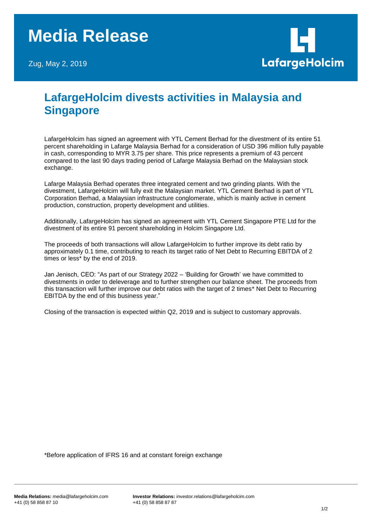## **Media Release**

Zug, May 2, 2019



## **LafargeHolcim divests activities in Malaysia and Singapore**

LafargeHolcim has signed an agreement with YTL Cement Berhad for the divestment of its entire 51 percent shareholding in Lafarge Malaysia Berhad for a consideration of USD 396 million fully payable in cash, corresponding to MYR 3.75 per share. This price represents a premium of 43 percent compared to the last 90 days trading period of Lafarge Malaysia Berhad on the Malaysian stock exchange.

Lafarge Malaysia Berhad operates three integrated cement and two grinding plants. With the divestment, LafargeHolcim will fully exit the Malaysian market. YTL Cement Berhad is part of YTL Corporation Berhad, a Malaysian infrastructure conglomerate, which is mainly active in cement production, construction, property development and utilities.

Additionally, LafargeHolcim has signed an agreement with YTL Cement Singapore PTE Ltd for the divestment of its entire 91 percent shareholding in Holcim Singapore Ltd.

The proceeds of both transactions will allow LafargeHolcim to further improve its debt ratio by approximately 0.1 time, contributing to reach its target ratio of Net Debt to Recurring EBITDA of 2 times or less\* by the end of 2019.

Jan Jenisch, CEO: "As part of our Strategy 2022 – 'Building for Growth' we have committed to divestments in order to deleverage and to further strengthen our balance sheet. The proceeds from this transaction will further improve our debt ratios with the target of 2 times\* Net Debt to Recurring EBITDA by the end of this business year."

Closing of the transaction is expected within Q2, 2019 and is subject to customary approvals.

\*Before application of IFRS 16 and at constant foreign exchange